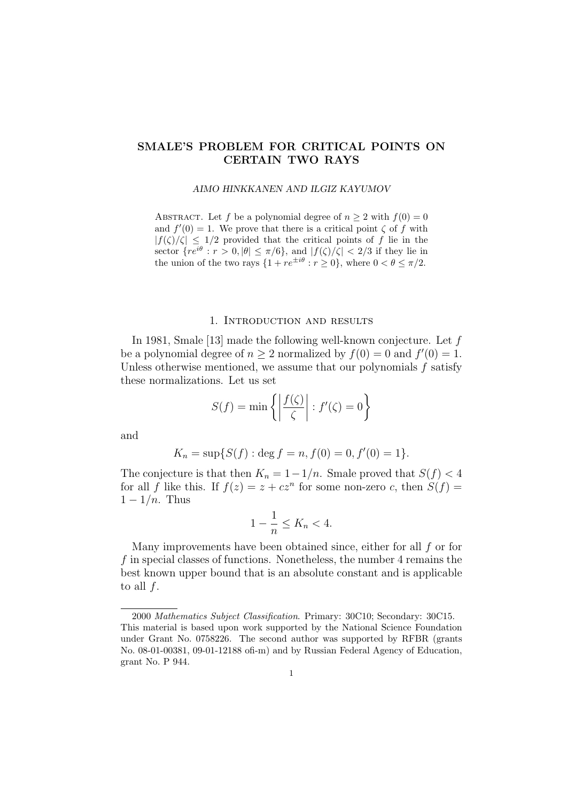# **SMALE'S PROBLEM FOR CRITICAL POINTS ON CERTAIN TWO RAYS**

#### *AIMO HINKKANEN AND ILGIZ KAYUMOV*

ABSTRACT. Let *f* be a polynomial degree of  $n \geq 2$  with  $f(0) = 0$ and  $f'(0) = 1$ . We prove that there is a critical point  $\zeta$  of f with  $|f(\zeta)/\zeta| \leq 1/2$  provided that the critical points of *f* lie in the sector  ${re^{i\theta}: r > 0, |\theta| \leq \pi/6}, \text{ and } |f(\zeta)/\zeta| < 2/3 \text{ if they lie in}}$ the union of the two rays  $\{1 + re^{\pm i\theta} : r \ge 0\}$ , where  $0 < \theta \le \pi/2$ .

## 1. Introduction and results

In 1981, Smale [13] made the following well-known conjecture. Let *f* be a polynomial degree of  $n \geq 2$  normalized by  $f(0) = 0$  and  $f'(0) = 1$ . Unless otherwise mentioned, we assume that our polynomials *f* satisfy these normalizations. Let us set

$$
S(f) = \min \left\{ \left| \frac{f(\zeta)}{\zeta} \right| : f'(\zeta) = 0 \right\}
$$

and

$$
K_n = \sup\{S(f) : \deg f = n, f(0) = 0, f'(0) = 1\}.
$$

The conjecture is that then  $K_n = 1 - 1/n$ . Smale proved that  $S(f) < 4$ for all *f* like this. If  $f(z) = z + cz^n$  for some non-zero *c*, then  $S(f) =$ 1 *−* 1*/n*. Thus

$$
1 - \frac{1}{n} \le K_n < 4.
$$

Many improvements have been obtained since, either for all *f* or for *f* in special classes of functions. Nonetheless, the number 4 remains the best known upper bound that is an absolute constant and is applicable to all *f*.

<sup>2000</sup> *Mathematics Subject Classification*. Primary: 30C10; Secondary: 30C15. This material is based upon work supported by the National Science Foundation under Grant No. 0758226. The second author was supported by RFBR (grants No. 08-01-00381, 09-01-12188 ofi-m) and by Russian Federal Agency of Education, grant No. P 944.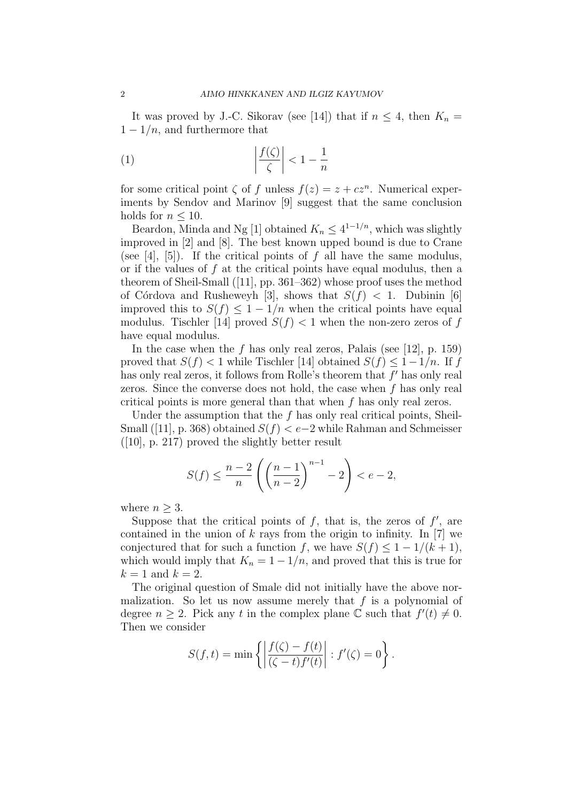It was proved by J.-C. Sikorav (see [14]) that if  $n \leq 4$ , then  $K_n =$ 1 *−* 1*/n*, and furthermore that

$$
(1) \qquad \qquad \left| \frac{f(\zeta)}{\zeta} \right| < 1 - \frac{1}{n}
$$

for some critical point  $\zeta$  of  $f$  unless  $f(z) = z + cz^n$ . Numerical experiments by Sendov and Marinov [9] suggest that the same conclusion holds for  $n \leq 10$ .

Beardon, Minda and Ng [1] obtained  $K_n \leq 4^{1-1/n}$ , which was slightly improved in [2] and [8]. The best known upped bound is due to Crane (see [4], [5]). If the critical points of *f* all have the same modulus, or if the values of *f* at the critical points have equal modulus, then a theorem of Sheil-Small ([11], pp. 361–362) whose proof uses the method of Córdova and Rusheweyh [3], shows that  $S(f) < 1$ . Dubinin [6] improved this to  $S(f) \leq 1 - 1/n$  when the critical points have equal modulus. Tischler [14] proved  $S(f) < 1$  when the non-zero zeros of f have equal modulus.

In the case when the *f* has only real zeros, Palais (see [12], p. 159) proved that  $S(f) < 1$  while Tischler [14] obtained  $S(f) < 1 - 1/n$ . If f has only real zeros, it follows from Rolle's theorem that *f ′* has only real zeros. Since the converse does not hold, the case when *f* has only real critical points is more general than that when *f* has only real zeros.

Under the assumption that the *f* has only real critical points, Sheil-Small ([11], p. 368) obtained *S*(*f*) *< e−*2 while Rahman and Schmeisser ([10], p. 217) proved the slightly better result

$$
S(f) \le \frac{n-2}{n} \left( \left( \frac{n-1}{n-2} \right)^{n-1} - 2 \right) < e - 2,
$$

where  $n \geq 3$ .

Suppose that the critical points of  $f$ , that is, the zeros of  $f'$ , are contained in the union of *k* rays from the origin to infinity. In [7] we conjectured that for such a function *f*, we have  $S(f) \leq 1 - \frac{1}{k+1}$ , which would imply that  $K_n = 1 - 1/n$ , and proved that this is true for  $k=1$  and  $k=2$ .

The original question of Smale did not initially have the above normalization. So let us now assume merely that *f* is a polynomial of degree  $n \geq 2$ . Pick any *t* in the complex plane  $\mathbb{C}$  such that  $f'(t) \neq 0$ . Then we consider

$$
S(f,t) = \min \left\{ \left| \frac{f(\zeta) - f(t)}{(\zeta - t) f'(t)} \right| : f'(\zeta) = 0 \right\}.
$$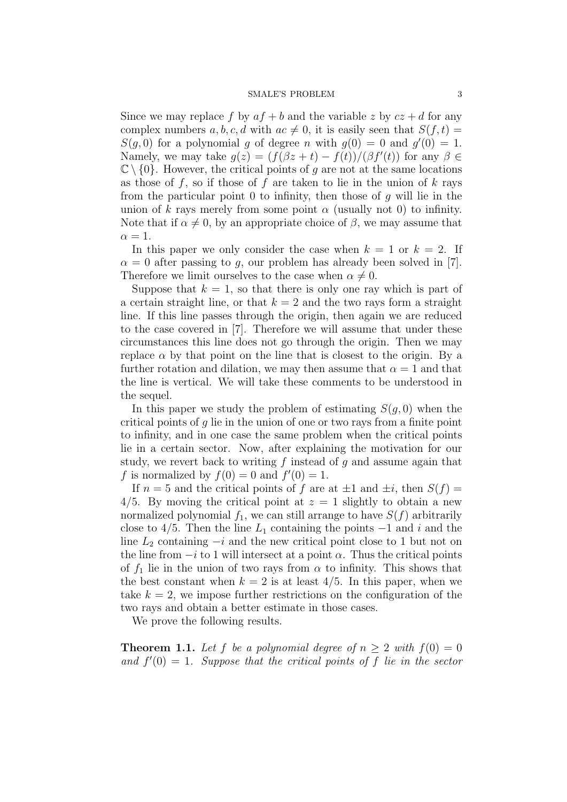#### SMALE'S PROBLEM 3

Since we may replace f by  $af + b$  and the variable z by  $cz + d$  for any complex numbers *a, b, c, d* with  $ac \neq 0$ , it is easily seen that  $S(f, t)$  $S(g, 0)$  for a polynomial *g* of degree *n* with  $g(0) = 0$  and  $g'(0) = 1$ . Namely, we may take  $g(z) = (f(\beta z + t) - f(t)) / (\beta f'(t))$  for any  $\beta \in$  $\mathbb{C} \setminus \{0\}$ . However, the critical points of *g* are not at the same locations as those of *f*, so if those of *f* are taken to lie in the union of *k* rays from the particular point 0 to infinity, then those of *g* will lie in the union of  $k$  rays merely from some point  $\alpha$  (usually not 0) to infinity. Note that if  $\alpha \neq 0$ , by an appropriate choice of  $\beta$ , we may assume that  $\alpha = 1$ .

In this paper we only consider the case when  $k = 1$  or  $k = 2$ . If  $\alpha = 0$  after passing to *g*, our problem has already been solved in [7]. Therefore we limit ourselves to the case when  $\alpha \neq 0$ .

Suppose that  $k = 1$ , so that there is only one ray which is part of a certain straight line, or that  $k = 2$  and the two rays form a straight line. If this line passes through the origin, then again we are reduced to the case covered in [7]. Therefore we will assume that under these circumstances this line does not go through the origin. Then we may replace  $\alpha$  by that point on the line that is closest to the origin. By a further rotation and dilation, we may then assume that  $\alpha = 1$  and that the line is vertical. We will take these comments to be understood in the sequel.

In this paper we study the problem of estimating  $S(g, 0)$  when the critical points of *g* lie in the union of one or two rays from a finite point to infinity, and in one case the same problem when the critical points lie in a certain sector. Now, after explaining the motivation for our study, we revert back to writing *f* instead of *g* and assume again that f is normalized by  $f(0) = 0$  and  $f'(0) = 1$ .

If  $n = 5$  and the critical points of  $f$  are at  $\pm 1$  and  $\pm i$ , then  $S(f) =$ 4/5. By moving the critical point at  $z = 1$  slightly to obtain a new normalized polynomial  $f_1$ , we can still arrange to have  $S(f)$  arbitrarily close to  $4/5$ . Then the line  $L_1$  containing the points  $-1$  and *i* and the line *L*<sup>2</sup> containing *−i* and the new critical point close to 1 but not on the line from  $-i$  to 1 will intersect at a point  $\alpha$ . Thus the critical points of  $f_1$  lie in the union of two rays from  $\alpha$  to infinity. This shows that the best constant when  $k = 2$  is at least  $4/5$ . In this paper, when we take  $k = 2$ , we impose further restrictions on the configuration of the two rays and obtain a better estimate in those cases.

We prove the following results.

**Theorem 1.1.** Let f be a polynomial degree of  $n > 2$  with  $f(0) = 0$ and  $f'(0) = 1$ . Suppose that the critical points of f lie in the sector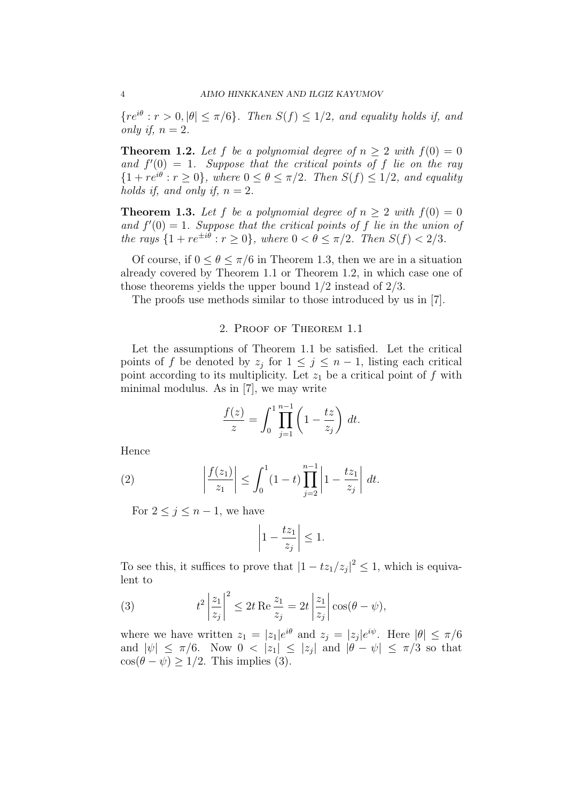${re^{i\theta}: r > 0, |\theta| \leq \pi/6}.$  *Then*  $S(f) \leq 1/2$ *, and equality holds if, and only if,*  $n = 2$ *.* 

**Theorem 1.2.** Let *f* be a polynomial degree of  $n > 2$  with  $f(0) = 0$ and  $f'(0) = 1$ . Suppose that the critical points of f lie on the ray  ${1 + re^{i\theta} : r \ge 0}$ , where  $0 \le \theta \le \pi/2$ . Then  $S(f) \le 1/2$ , and equality *holds if, and only if,*  $n = 2$ *.* 

**Theorem 1.3.** Let f be a polynomial degree of  $n \geq 2$  with  $f(0) = 0$ and  $f'(0) = 1$ . Suppose that the critical points of f lie in the union of *the rays*  $\{1 + re^{\pm i\theta} : r \ge 0\}$ , where  $0 < \theta \le \pi/2$ . Then  $S(f) < 2/3$ .

Of course, if  $0 \le \theta \le \pi/6$  in Theorem 1.3, then we are in a situation already covered by Theorem 1.1 or Theorem 1.2, in which case one of those theorems yields the upper bound 1*/*2 instead of 2*/*3.

The proofs use methods similar to those introduced by us in [7].

## 2. Proof of Theorem 1.1

Let the assumptions of Theorem 1.1 be satisfied. Let the critical points of *f* be denoted by  $z_j$  for  $1 \leq j \leq n-1$ , listing each critical point according to its multiplicity. Let  $z_1$  be a critical point of  $f$  with minimal modulus. As in [7], we may write

$$
\frac{f(z)}{z} = \int_0^1 \prod_{j=1}^{n-1} \left(1 - \frac{tz}{z_j}\right) dt.
$$

Hence

(2) 
$$
\left| \frac{f(z_1)}{z_1} \right| \leq \int_0^1 (1-t) \prod_{j=2}^{n-1} \left| 1 - \frac{tz_1}{z_j} \right| dt.
$$

For  $2 \leq j \leq n-1$ , we have

$$
\left|1 - \frac{tz_1}{z_j}\right| \le 1.
$$

To see this, it suffices to prove that  $|1 - tz_1/z_j|^2 \leq 1$ , which is equivalent to

(3) 
$$
t^2 \left| \frac{z_1}{z_j} \right|^2 \le 2t \operatorname{Re} \frac{z_1}{z_j} = 2t \left| \frac{z_1}{z_j} \right| \cos(\theta - \psi),
$$

where we have written  $z_1 = |z_1|e^{i\theta}$  and  $z_j = |z_j|e^{i\psi}$ . Here  $|\theta| \le \pi/6$ and  $|\psi| \leq \pi/6$ . Now  $0 < |z_1| \leq |z_j|$  and  $|\theta - \psi| \leq \pi/3$  so that  $\cos(\theta - \psi) > 1/2$ . This implies (3).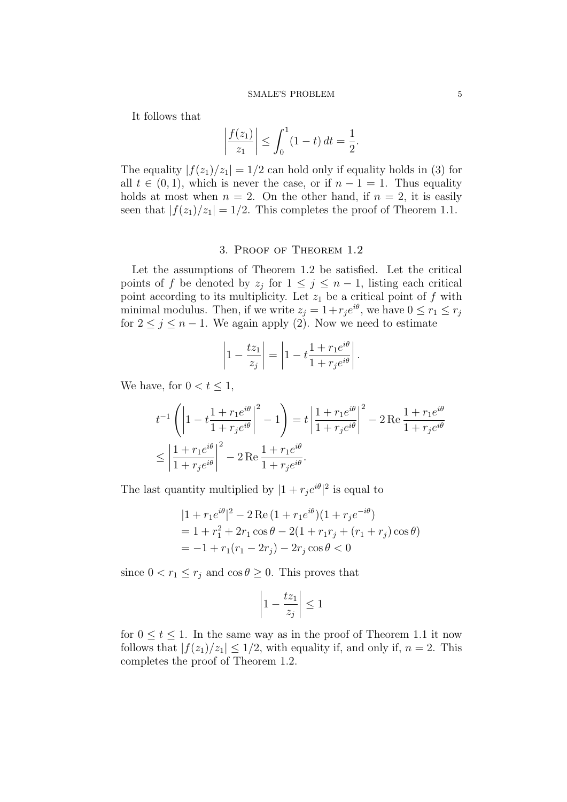It follows that

$$
\left|\frac{f(z_1)}{z_1}\right| \le \int_0^1 (1-t) \, dt = \frac{1}{2}.
$$

The equality  $|f(z_1)/z_1|=1/2$  can hold only if equality holds in (3) for all  $t \in (0,1)$ , which is never the case, or if  $n-1=1$ . Thus equality holds at most when  $n = 2$ . On the other hand, if  $n = 2$ , it is easily seen that  $|f(z_1)/z_1|=1/2$ . This completes the proof of Theorem 1.1.

## 3. Proof of Theorem 1.2

Let the assumptions of Theorem 1.2 be satisfied. Let the critical points of *f* be denoted by  $z_j$  for  $1 \leq j \leq n-1$ , listing each critical point according to its multiplicity. Let  $z_1$  be a critical point of  $f$  with minimal modulus. Then, if we write  $z_j = 1 + r_j e^{i\theta}$ , we have  $0 \le r_1 \le r_j$ for  $2 \leq j \leq n-1$ . We again apply (2). Now we need to estimate

$$
\left|1 - \frac{tz_1}{z_j}\right| = \left|1 - t\frac{1 + r_1 e^{i\theta}}{1 + r_j e^{i\theta}}\right|.
$$

We have, for  $0 < t \leq 1$ ,

$$
t^{-1}\left(\left|1-t\frac{1+r_1e^{i\theta}}{1+r_je^{i\theta}}\right|^2-1\right) = t\left|\frac{1+r_1e^{i\theta}}{1+r_je^{i\theta}}\right|^2 - 2\operatorname{Re}\frac{1+r_1e^{i\theta}}{1+r_je^{i\theta}} \le \left|\frac{1+r_1e^{i\theta}}{1+r_je^{i\theta}}\right|^2 - 2\operatorname{Re}\frac{1+r_1e^{i\theta}}{1+r_je^{i\theta}}.
$$

The last quantity multiplied by  $|1 + r_j e^{i\theta}|^2$  is equal to

$$
|1 + r_1 e^{i\theta}|^2 - 2 \operatorname{Re} (1 + r_1 e^{i\theta}) (1 + r_j e^{-i\theta})
$$
  
= 1 + r<sub>1</sub><sup>2</sup> + 2r<sub>1</sub> cos \theta - 2(1 + r<sub>1</sub>r<sub>j</sub> + (r<sub>1</sub> + r<sub>j</sub>) cos \theta)  
= -1 + r<sub>1</sub>(r<sub>1</sub> - 2r<sub>j</sub>) - 2r<sub>j</sub> cos \theta < 0

since  $0 < r_1 \leq r_j$  and  $\cos \theta \geq 0$ . This proves that

$$
\left|1 - \frac{tz_1}{z_j}\right| \le 1
$$

for  $0 \le t \le 1$ . In the same way as in the proof of Theorem 1.1 it now follows that  $|f(z_1)/z_1| \leq 1/2$ , with equality if, and only if,  $n = 2$ . This completes the proof of Theorem 1.2.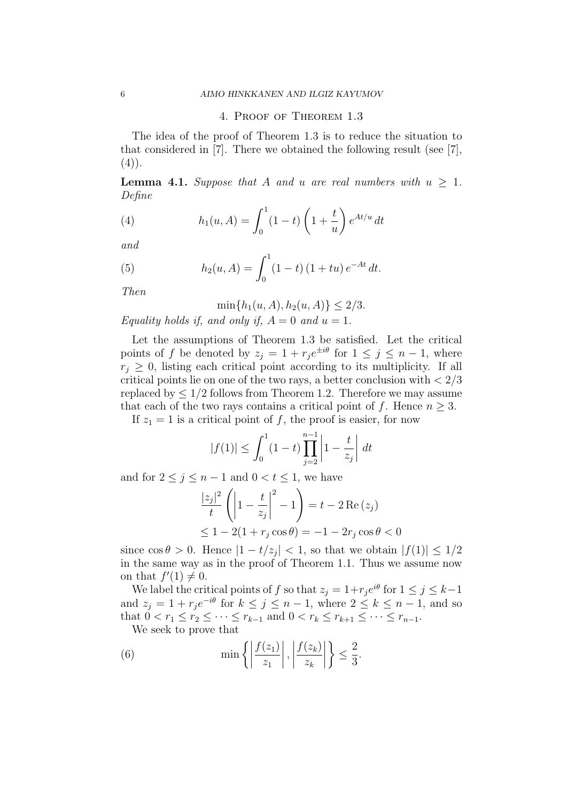### 4. Proof of Theorem 1.3

The idea of the proof of Theorem 1.3 is to reduce the situation to that considered in [7]. There we obtained the following result (see [7],  $(4)$ ).

**Lemma 4.1.** *Suppose that A and u are real numbers with*  $u \geq 1$ *. Define*

(4) 
$$
h_1(u, A) = \int_0^1 (1 - t) \left(1 + \frac{t}{u}\right) e^{At/u} dt
$$

*and*

(5) 
$$
h_2(u, A) = \int_0^1 (1 - t) (1 + tu) e^{-At} dt.
$$

*Then*

$$
\min\{h_1(u, A), h_2(u, A)\} \le 2/3.
$$

*Equality holds if, and only if,*  $A = 0$  *and*  $u = 1$ *.* 

Let the assumptions of Theorem 1.3 be satisfied. Let the critical points of *f* be denoted by  $z_j = 1 + r_j e^{\pm i\theta}$  for  $1 \leq j \leq n-1$ , where  $r_j \geq 0$ , listing each critical point according to its multiplicity. If all critical points lie on one of the two rays, a better conclusion with *<* 2*/*3 replaced by  $\leq 1/2$  follows from Theorem 1.2. Therefore we may assume that each of the two rays contains a critical point of *f*. Hence  $n \geq 3$ .

If  $z_1 = 1$  is a critical point of f, the proof is easier, for now

$$
|f(1)| \le \int_0^1 (1-t) \prod_{j=2}^{n-1} \left| 1 - \frac{t}{z_j} \right| dt
$$

and for  $2 \leq j \leq n-1$  and  $0 < t \leq 1$ , we have

$$
\frac{|z_j|^2}{t} \left( \left| 1 - \frac{t}{z_j} \right|^2 - 1 \right) = t - 2 \operatorname{Re}(z_j)
$$
  

$$
\leq 1 - 2(1 + r_j \cos \theta) = -1 - 2r_j \cos \theta < 0
$$

since  $\cos \theta > 0$ . Hence  $|1 - t/z_j| < 1$ , so that we obtain  $|f(1)| \leq 1/2$ in the same way as in the proof of Theorem 1.1. Thus we assume now on that  $f'(1) \neq 0$ .

We label the critical points of *f* so that  $z_j = 1 + r_j e^{i\theta}$  for  $1 \le j \le k-1$ and  $z_j = 1 + r_j e^{-i\theta}$  for  $k \leq j \leq n-1$ , where  $2 \leq k \leq n-1$ , and so that  $0 < r_1 \leq r_2 \leq \cdots \leq r_{k-1}$  and  $0 < r_k \leq r_{k+1} \leq \cdots \leq r_{n-1}$ .

We seek to prove that

(6) 
$$
\min\left\{ \left| \frac{f(z_1)}{z_1} \right|, \left| \frac{f(z_k)}{z_k} \right| \right\} \leq \frac{2}{3}.
$$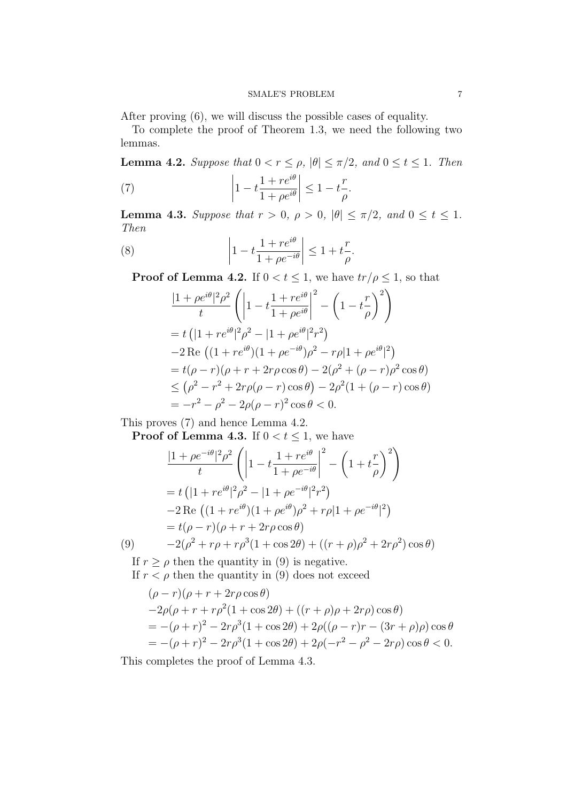### SMALE'S PROBLEM 7

After proving (6), we will discuss the possible cases of equality.

To complete the proof of Theorem 1.3, we need the following two lemmas.

**Lemma 4.2.** *Suppose that*  $0 < r \le \rho$ ,  $|\theta| \le \pi/2$ , and  $0 \le t \le 1$ . *Then* (7) 1 *− t*  $1 + re^{i\theta}$  *≤* 1 *− t r .*

 $1 + \rho e^{i\theta}$ 

**Lemma 4.3.** *Suppose that*  $r > 0$ ,  $\rho > 0$ ,  $|\theta| \le \pi/2$ , and  $0 \le t \le 1$ . *Then*

*ρ*

(8) 
$$
\left|1 - t \frac{1 + re^{i\theta}}{1 + \rho e^{-i\theta}}\right| \le 1 + t \frac{r}{\rho}.
$$

**Proof of Lemma 4.2.** If  $0 < t \leq 1$ , we have  $tr/\rho \leq 1$ , so that

$$
\frac{|1+\rho e^{i\theta}|^2 \rho^2}{t} \left( \left| 1 - t \frac{1+re^{i\theta}}{1+\rho e^{i\theta}} \right|^2 - \left( 1 - t \frac{r}{\rho} \right)^2 \right)
$$
  
=  $t \left( |1+re^{i\theta}|^2 \rho^2 - |1+\rho e^{i\theta}|^2 r^2 \right)$   
-  $2 \text{Re} \left( (1+re^{i\theta})(1+\rho e^{-i\theta})\rho^2 - r\rho |1+\rho e^{i\theta}|^2 \right)$   
=  $t(\rho - r)(\rho + r + 2r\rho \cos \theta) - 2(\rho^2 + (\rho - r)\rho^2 \cos \theta)$   
 $\leq (\rho^2 - r^2 + 2r\rho(\rho - r)\cos \theta) - 2\rho^2 (1 + (\rho - r)\cos \theta)$   
=  $-r^2 - \rho^2 - 2\rho(\rho - r)^2 \cos \theta < 0.$ 

This proves (7) and hence Lemma 4.2.

**Proof of Lemma 4.3.** If  $0 < t \leq 1$ , we have

$$
\frac{|1+\rho e^{-i\theta}|^2 \rho^2}{t} \left( \left| 1 - t \frac{1+re^{i\theta}}{1+\rho e^{-i\theta}} \right|^2 - \left( 1 + t \frac{r}{\rho} \right)^2 \right)
$$
  
=  $t \left( |1+re^{i\theta}|^2 \rho^2 - |1+\rho e^{-i\theta}|^2 r^2 \right)$   
 $-2 \operatorname{Re} \left( (1+re^{i\theta})(1+\rho e^{i\theta}) \rho^2 + r\rho |1+\rho e^{-i\theta}|^2 \right)$   
=  $t(\rho - r)(\rho + r + 2r\rho \cos \theta)$   
(9)  $-2(\rho^2 + r\rho + r\rho^3(1+\cos 2\theta) + ((r+\rho)\rho^2 + 2r\rho^2)\cos \theta)$ 

$$
9) \qquad -2(\rho^2 +
$$

If  $r \geq \rho$  then the quantity in (9) is negative. If  $r < \rho$  then the quantity in (9) does not exceed

$$
(\rho - r)(\rho + r + 2r\rho\cos\theta) \n-2\rho(\rho + r + r\rho^2(1 + \cos 2\theta) + ((r + \rho)\rho + 2r\rho)\cos\theta) \n= -(\rho + r)^2 - 2r\rho^3(1 + \cos 2\theta) + 2\rho((\rho - r)r - (3r + \rho)\rho)\cos\theta \n= -(\rho + r)^2 - 2r\rho^3(1 + \cos 2\theta) + 2\rho(-r^2 - \rho^2 - 2r\rho)\cos\theta < 0.
$$

This completes the proof of Lemma 4.3.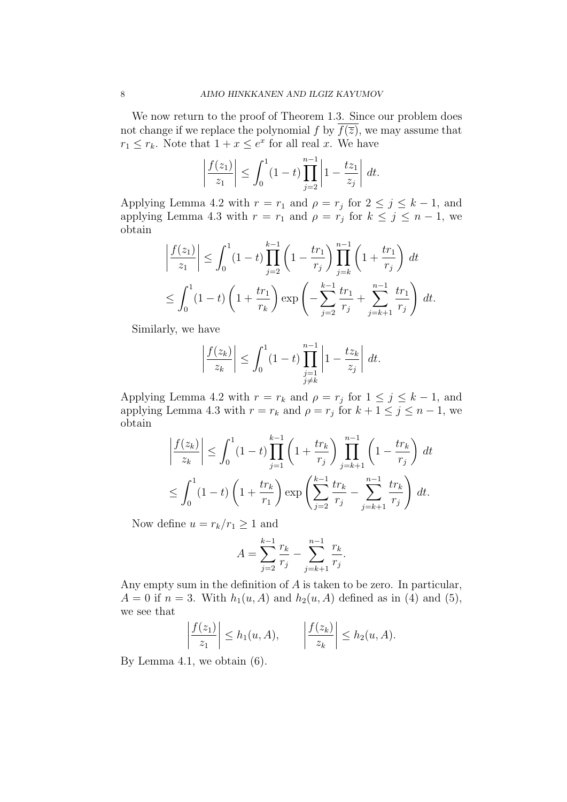We now return to the proof of Theorem 1.3. Since our problem does not change if we replace the polynomial  $f$  by  $f(\overline{z})$ , we may assume that  $r_1 \leq r_k$ . Note that  $1 + x \leq e^x$  for all real *x*. We have

$$
\left|\frac{f(z_1)}{z_1}\right| \le \int_0^1 (1-t) \prod_{j=2}^{n-1} \left|1 - \frac{tz_1}{z_j}\right| dt.
$$

Applying Lemma 4.2 with  $r = r_1$  and  $\rho = r_j$  for  $2 \leq j \leq k - 1$ , and applying Lemma 4.3 with  $r = r_1$  and  $\rho = r_j$  for  $k \leq j \leq n-1$ , we obtain

$$
\left| \frac{f(z_1)}{z_1} \right| \le \int_0^1 (1-t) \prod_{j=2}^{k-1} \left( 1 - \frac{tr_1}{r_j} \right) \prod_{j=k}^{n-1} \left( 1 + \frac{tr_1}{r_j} \right) dt
$$
  

$$
\le \int_0^1 (1-t) \left( 1 + \frac{tr_1}{r_k} \right) \exp \left( - \sum_{j=2}^{k-1} \frac{tr_1}{r_j} + \sum_{j=k+1}^{n-1} \frac{tr_1}{r_j} \right) dt.
$$

Similarly, we have

$$
\left|\frac{f(z_k)}{z_k}\right| \le \int_0^1 (1-t) \prod_{\substack{j=1 \ j\neq k}}^{n-1} \left|1 - \frac{tz_k}{z_j}\right| dt.
$$

Applying Lemma 4.2 with  $r = r_k$  and  $\rho = r_j$  for  $1 \leq j \leq k - 1$ , and applying Lemma 4.3 with  $r = r_k$  and  $\rho = r_j$  for  $k + 1 \le j \le n - 1$ , we obtain

$$
\left| \frac{f(z_k)}{z_k} \right| \le \int_0^1 (1-t) \prod_{j=1}^{k-1} \left( 1 + \frac{tr_k}{r_j} \right) \prod_{j=k+1}^{n-1} \left( 1 - \frac{tr_k}{r_j} \right) dt
$$
  

$$
\le \int_0^1 (1-t) \left( 1 + \frac{tr_k}{r_1} \right) \exp \left( \sum_{j=2}^{k-1} \frac{tr_k}{r_j} - \sum_{j=k+1}^{n-1} \frac{tr_k}{r_j} \right) dt.
$$

Now define  $u = r_k/r_1 \geq 1$  and

$$
A = \sum_{j=2}^{k-1} \frac{r_k}{r_j} - \sum_{j=k+1}^{n-1} \frac{r_k}{r_j}.
$$

Any empty sum in the definition of *A* is taken to be zero. In particular,  $A = 0$  if  $n = 3$ . With  $h_1(u, A)$  and  $h_2(u, A)$  defined as in (4) and (5), we see that

$$
\left|\frac{f(z_1)}{z_1}\right| \le h_1(u,A), \qquad \left|\frac{f(z_k)}{z_k}\right| \le h_2(u,A).
$$

By Lemma 4.1, we obtain (6).